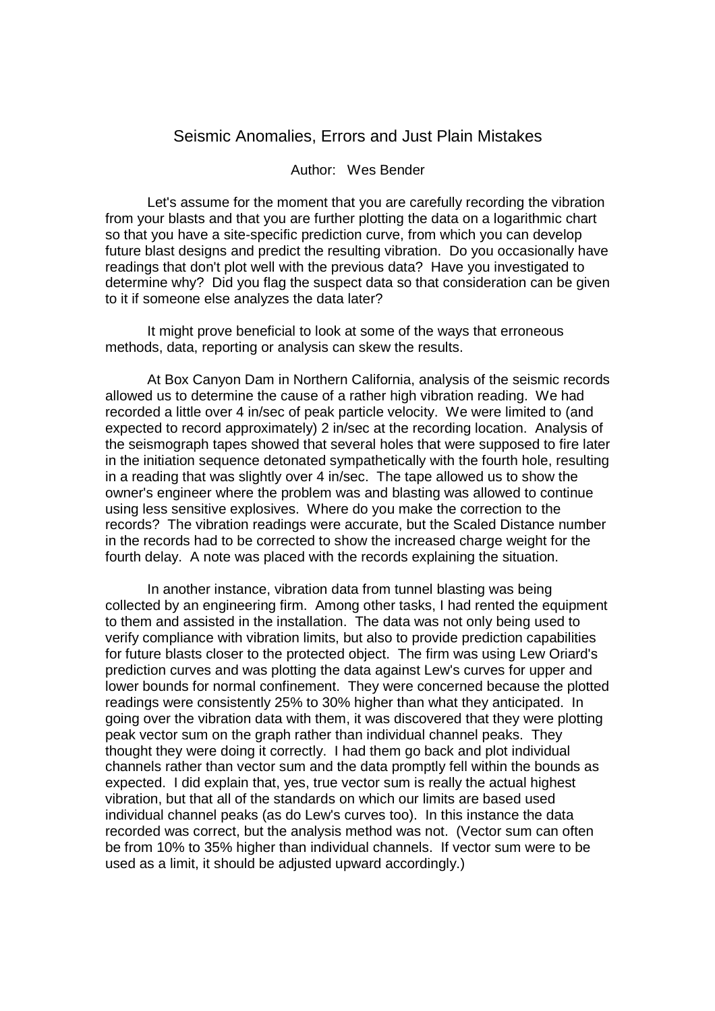## Seismic Anomalies, Errors and Just Plain Mistakes

## Author: Wes Bender

 Let's assume for the moment that you are carefully recording the vibration from your blasts and that you are further plotting the data on a logarithmic chart so that you have a site-specific prediction curve, from which you can develop future blast designs and predict the resulting vibration. Do you occasionally have readings that don't plot well with the previous data? Have you investigated to determine why? Did you flag the suspect data so that consideration can be given to it if someone else analyzes the data later?

 It might prove beneficial to look at some of the ways that erroneous methods, data, reporting or analysis can skew the results.

 At Box Canyon Dam in Northern California, analysis of the seismic records allowed us to determine the cause of a rather high vibration reading. We had recorded a little over 4 in/sec of peak particle velocity. We were limited to (and expected to record approximately) 2 in/sec at the recording location. Analysis of the seismograph tapes showed that several holes that were supposed to fire later in the initiation sequence detonated sympathetically with the fourth hole, resulting in a reading that was slightly over 4 in/sec. The tape allowed us to show the owner's engineer where the problem was and blasting was allowed to continue using less sensitive explosives. Where do you make the correction to the records? The vibration readings were accurate, but the Scaled Distance number in the records had to be corrected to show the increased charge weight for the fourth delay. A note was placed with the records explaining the situation.

 In another instance, vibration data from tunnel blasting was being collected by an engineering firm. Among other tasks, I had rented the equipment to them and assisted in the installation. The data was not only being used to verify compliance with vibration limits, but also to provide prediction capabilities for future blasts closer to the protected object. The firm was using Lew Oriard's prediction curves and was plotting the data against Lew's curves for upper and lower bounds for normal confinement. They were concerned because the plotted readings were consistently 25% to 30% higher than what they anticipated. In going over the vibration data with them, it was discovered that they were plotting peak vector sum on the graph rather than individual channel peaks. They thought they were doing it correctly. I had them go back and plot individual channels rather than vector sum and the data promptly fell within the bounds as expected. I did explain that, yes, true vector sum is really the actual highest vibration, but that all of the standards on which our limits are based used individual channel peaks (as do Lew's curves too). In this instance the data recorded was correct, but the analysis method was not. (Vector sum can often be from 10% to 35% higher than individual channels. If vector sum were to be used as a limit, it should be adjusted upward accordingly.)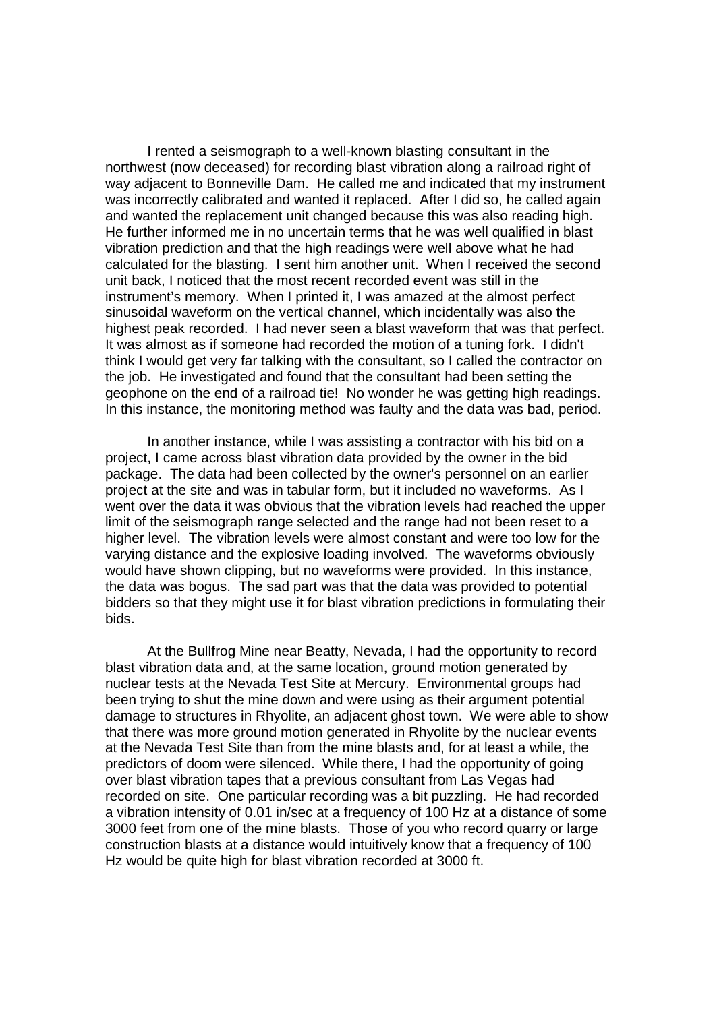I rented a seismograph to a well-known blasting consultant in the northwest (now deceased) for recording blast vibration along a railroad right of way adjacent to Bonneville Dam. He called me and indicated that my instrument was incorrectly calibrated and wanted it replaced. After I did so, he called again and wanted the replacement unit changed because this was also reading high. He further informed me in no uncertain terms that he was well qualified in blast vibration prediction and that the high readings were well above what he had calculated for the blasting. I sent him another unit. When I received the second unit back, I noticed that the most recent recorded event was still in the instrument's memory. When I printed it, I was amazed at the almost perfect sinusoidal waveform on the vertical channel, which incidentally was also the highest peak recorded. I had never seen a blast waveform that was that perfect. It was almost as if someone had recorded the motion of a tuning fork. I didn't think I would get very far talking with the consultant, so I called the contractor on the job. He investigated and found that the consultant had been setting the geophone on the end of a railroad tie! No wonder he was getting high readings. In this instance, the monitoring method was faulty and the data was bad, period.

 In another instance, while I was assisting a contractor with his bid on a project, I came across blast vibration data provided by the owner in the bid package. The data had been collected by the owner's personnel on an earlier project at the site and was in tabular form, but it included no waveforms. As I went over the data it was obvious that the vibration levels had reached the upper limit of the seismograph range selected and the range had not been reset to a higher level. The vibration levels were almost constant and were too low for the varying distance and the explosive loading involved. The waveforms obviously would have shown clipping, but no waveforms were provided. In this instance, the data was bogus. The sad part was that the data was provided to potential bidders so that they might use it for blast vibration predictions in formulating their bids.

 At the Bullfrog Mine near Beatty, Nevada, I had the opportunity to record blast vibration data and, at the same location, ground motion generated by nuclear tests at the Nevada Test Site at Mercury. Environmental groups had been trying to shut the mine down and were using as their argument potential damage to structures in Rhyolite, an adjacent ghost town. We were able to show that there was more ground motion generated in Rhyolite by the nuclear events at the Nevada Test Site than from the mine blasts and, for at least a while, the predictors of doom were silenced. While there, I had the opportunity of going over blast vibration tapes that a previous consultant from Las Vegas had recorded on site. One particular recording was a bit puzzling. He had recorded a vibration intensity of 0.01 in/sec at a frequency of 100 Hz at a distance of some 3000 feet from one of the mine blasts. Those of you who record quarry or large construction blasts at a distance would intuitively know that a frequency of 100 Hz would be quite high for blast vibration recorded at 3000 ft.